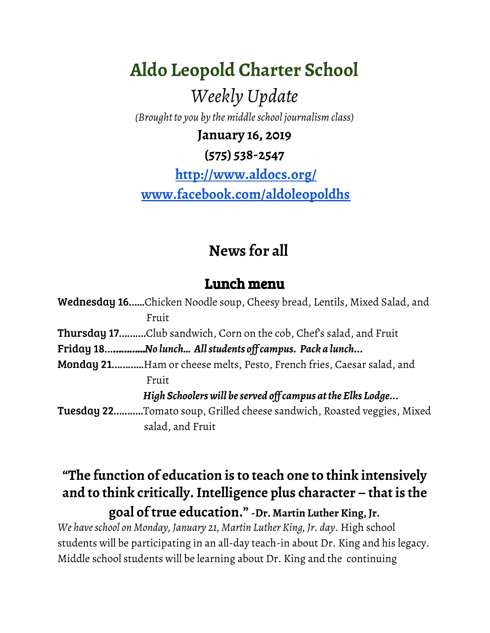**Aldo Leopold Charter School** *Weekly Update (Brought to you by the middleschool journalism class)* **January 16, 2019**

**(575) 538-2547**

**<http://www.aldocs.org/> [www.facebook.com/aldoleopoldhs](http://www.facebook.com/aldoleopoldhs)**

### **News for all**

#### Lunch menu

Wednesday 16…...Chicken Noodle soup, Cheesy bread, Lentils, Mixed Salad, and Fruit Thursday 17……….Club sandwich, Corn on the cob, Chef's salad, and Fruit Friday 18…………...*No lunch… Allstudents of campus. Pack a lunch...* Monday 21………...Ham or cheese melts, Pesto, French fries, Caesar salad, and Fruit *High Schoolerswill beserved of campus atthe Elks Lodge...* Tuesday 22………..Tomato soup, Grilled cheese sandwich, Roasted veggies, Mixed salad, and Fruit

#### **"The function of education is to teach one to think intensively and to think critically.Intelligence plus character – that is the goal of true education."-Dr. Martin Luther King, Jr.**

*We haveschool on Monday, January 21, Martin Luther King, Jr. day.* High school students will be participating in an all-day teach-in about Dr. King and his legacy. Middle school students will be learning about Dr. King and the continuing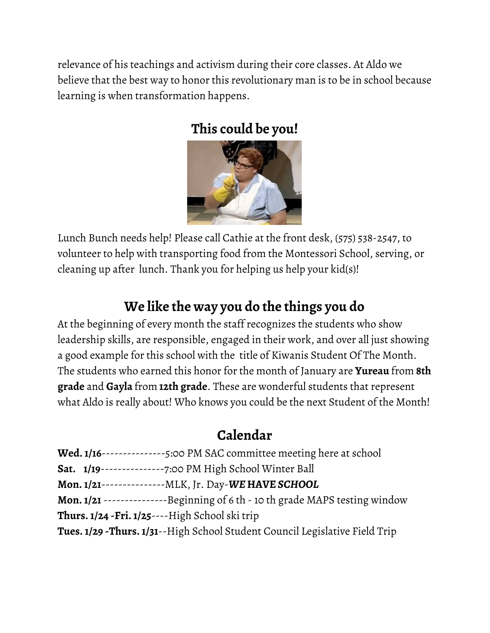relevance of his teachings and activism during their core classes. At Aldo we believe that the best way to honor this revolutionary man is to be in school because learning is when transformation happens.

### **This could be you!**



Lunch Bunch needs help! Please call Cathie at the front desk, (575) 538-2547, to volunteer to help with transporting food from the Montessori School, serving, or cleaning up after lunch. Thank you for helping us help your kid(s)!

## **We like the way you do the things you do**

At the beginning of every month the staff recognizes the students who show leadership skills, are responsible, engaged in their work, and over all just showing a good example for this school with the title of Kiwanis Student Of The Month. The students who earned this honor for the month of January are **Yureau** from **8th grade** and **Gayla** from **12th grade**. These are wonderful students that represent what Aldo is really about! Who knows you could be the next Student of the Month!

### **Calendar**

| Wed. 1/16---------------5:00 PM SAC committee meeting here at school                 |
|--------------------------------------------------------------------------------------|
| <b>Sat.</b> 1/19----------------7:00 PM High School Winter Ball                      |
| Mon. 1/21----------------MLK, Jr. Day-WE HAVE SCHOOL                                 |
| <b>Mon. 1/21</b> ----------------Beginning of 6 th - 10 th grade MAPS testing window |
| <b>Thurs. 1/24 - Fri. 1/25</b> ---- High School ski trip                             |
| Tues. 1/29 -Thurs. 1/31--High School Student Council Legislative Field Trip          |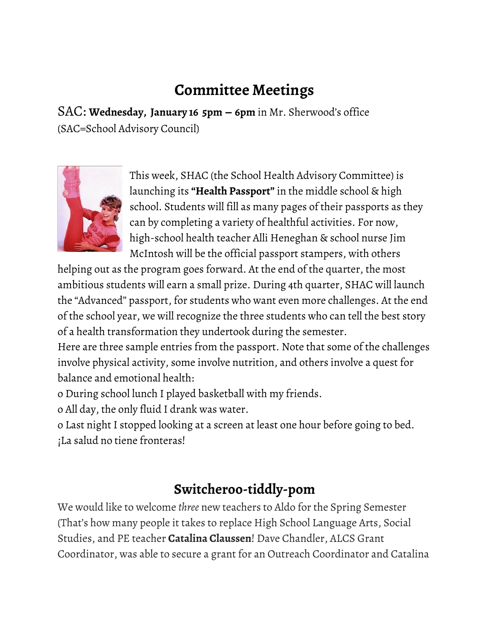# **Committee Meetings**

SAC: **Wednesday, January 16 5pm – 6pm** in Mr. Sherwood's office (SAC=School Advisory Council)



This week, SHAC (the School Health Advisory Committee) is launching its **"Health Passport"**in the middle school & high school. Students will fill as many pages of their passports as they can by completing a variety of healthful activities. For now, high-school health teacher Alli Heneghan & school nurse Jim McIntosh will be the official passport stampers, with others

helping out as the program goes forward. At the end of the quarter, the most ambitious students will earn a small prize. During 4th quarter, SHAC will launch the "Advanced" passport, for students who want even more challenges. At the end of the school year, we will recognize the three students who can tell the best story of a health transformation they undertook during the semester.

Here are three sample entries from the passport. Note that some of the challenges involve physical activity, some involve nutrition, and others involve a quest for balance and emotional health:

o During school lunch I played basketball with my friends.

o All day, the only fluid I drank was water.

o Last night I stopped looking at a screen at least one hour before going to bed. ¡La salud no tiene fronteras!

#### **Switcheroo-tiddly-pom**

We would like to welcome *three* new teachers to Aldo for the Spring Semester (That's how many people it takes to replace High School Language Arts, Social Studies, and PE teacher **Catalina Claussen**! Dave Chandler, ALCS Grant Coordinator, was able to secure a grant for an Outreach Coordinator and Catalina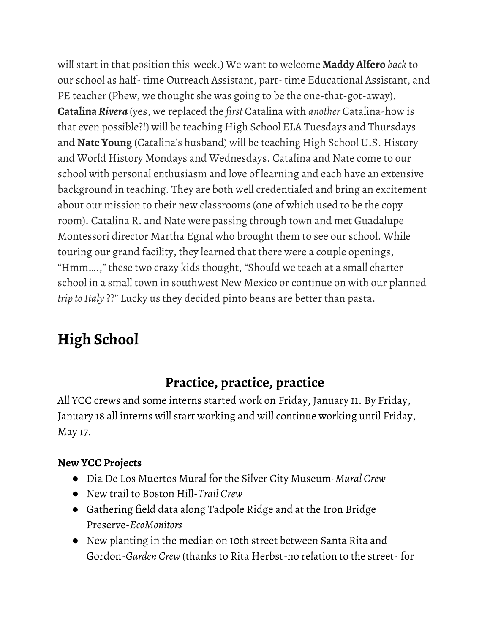will start in that position this week.) We want to welcome **Maddy Alfero** *back* to our school as half- time Outreach Assistant, part- time Educational Assistant, and PE teacher (Phew, we thought she was going to be the one-that-got-away). **Catalina***Rivera* (yes, we replaced the *first* Catalina with *another* Catalina-how is that even possible?!) will be teaching High School ELA Tuesdays and Thursdays and **Nate Young** (Catalina's husband) will be teaching High School U.S. History and World History Mondays and Wednesdays. Catalina and Nate come to our school with personal enthusiasm and love of learning and each have an extensive background in teaching. They are both well credentialed and bring an excitement about our mission to their new classrooms (one of which used to be the copy room). Catalina R. and Nate were passing through town and met Guadalupe Montessori director Martha Egnal who brought them to see our school. While touring our grand facility, they learned that there were a couple openings, "Hmm….," these two crazy kids thought, "Should we teach at a small charter school in a small town in southwest New Mexico or continue on with our planned *trip to Italy* ??" Lucky us they decided pinto beans are better than pasta.

# **High School**

### **Practice, practice, practice**

All YCC crews and some interns started work on Friday, January 11. By Friday, January 18 all interns will start working and will continue working until Friday, May 17.

#### **New YCC Projects**

- Dia De Los Muertos Mural for the Silver City Museum-*Mural Crew*
- New trail to Boston Hill-*Trail Crew*
- Gathering field data along Tadpole Ridge and at the Iron Bridge Preserve-*EcoMonitors*
- New planting in the median on 10th street between Santa Rita and Gordon-*Garden Crew* (thanks to Rita Herbst-no relation to the street- for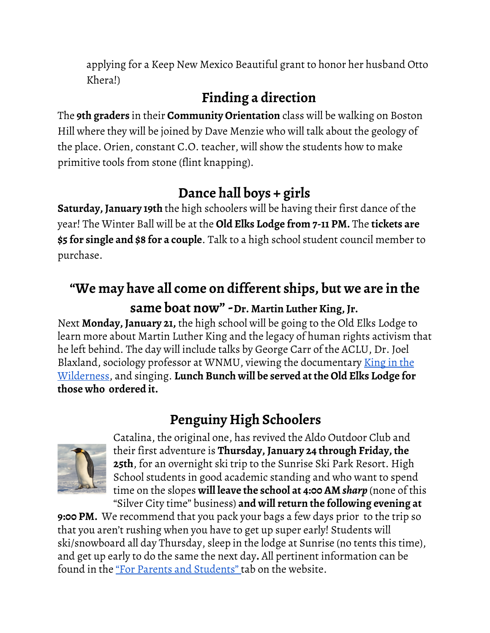applying for a Keep New Mexico Beautiful grant to honor her husband Otto Khera!)

# **Finding a direction**

The **9th graders** in their **Community Orientation** class will be walking on Boston Hill where they will be joined by Dave Menzie who will talk about the geology of the place. Orien, constant C.O. teacher, will show the students how to make primitive tools from stone (flint knapping).

# **Dance hall boys + girls**

**Saturday, January 19th** the high schoolers will be having their first dance of the year! The Winter Ball will be at the **Old Elks Lodge from 7-11 PM.** The **tickets are \$5 for single and \$8 for a couple**. Talk to a high school student council member to purchase.

### **"We may have all come on different ships, but we are in the same boat now"-Dr. Martin Luther King, Jr.**

Next **Monday, January 21,** the high school will be going to the Old Elks Lodge to learn more about Martin Luther King and the legacy of human rights activism that he left behind. The day will include talks by George Carr of the ACLU, Dr. Joel Blaxland, sociology professor at WNMU, viewing the documentary <u>[King](https://www.youtube.com/watch?v=aVGRg89DbyM) in the</u> [Wilderness](https://www.youtube.com/watch?v=aVGRg89DbyM), and singing. **Lunch Bunch will be served at the Old Elks Lodge for those who ordered it.**

# **Penguiny High Schoolers**



Catalina, the original one, has revived the Aldo Outdoor Club and their first adventure is **Thursday, January 24 through Friday, the 25th**, for an overnight ski trip to the Sunrise Ski Park Resort. High School students in good academic standing and who want to spend time on the slopes **will leave the school at 4:00 AM** *sharp* (none of this "Silver City time" business) **and will return the following evening at**

**9:00 PM.** We recommend that you pack your bags a few days prior to the trip so that you aren't rushing when you have to get up super early! Students will ski/snowboard all day Thursday, sleep in the lodge at Sunrise (no tents this time), and get up early to do the same the next day**.** All pertinent information can be found in the "For Parents and [Students"](https://www.aldocs.org/letters-home--permission-slips.html) tab on the website.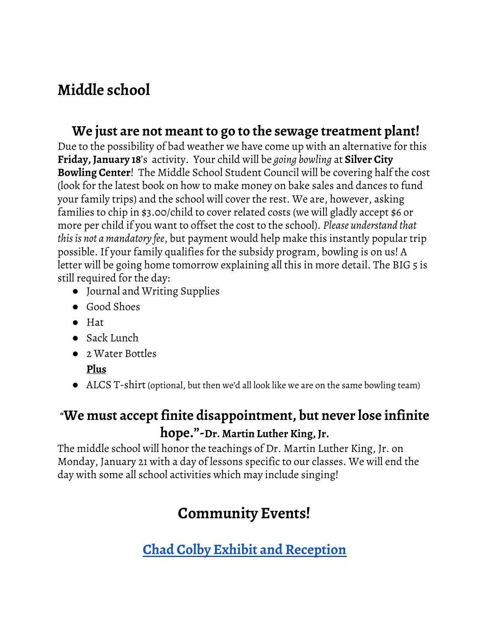### **Middle school**

#### **We just are not meant to go to the sewage treatment plant!**

Due to the possibility of bad weather we have come up with an alternative for this **Friday, January 18**'s activity. Your child will be *going bowling* at **Silver City Bowling Center**! The Middle School Student Council will be covering half the cost (look for the latest book on how to make money on bake sales and dances to fund your family trips) and the school will cover the rest. We are, however, asking families to chip in \$3.00/child to cover related costs (we will gladly accept \$6 or more per child if you want to offset the cost to the school). *Please understand that thisis not a mandatory fee*, but payment would help make this instantly popular trip possible. If your family qualifies for the subsidy program, bowling is on us! A letter will be going home tomorrow explaining all this in more detail. The BIG 5 is still required for the day:

- Journal and Writing Supplies
- Good Shoes
- Hat
- Sack Lunch
- 2 Water Bottles
	- **Plus**
- ALCS T-shirt (optional, but then we'd all look like we are on the same bowling team)

### **"We must accept finite disappointment, but never lose infinite hope."-Dr. Martin Luther King, Jr.**

The middle school will honor the teachings of Dr. Martin Luther King, Jr. on Monday, January 21 with a day of lessons specific to our classes. We will end the day with some all school activities which may include singing!

# **Community Events!**

**Chad Colby Exhibit and [Reception](https://admin.wnmu.edu/cultural/)**